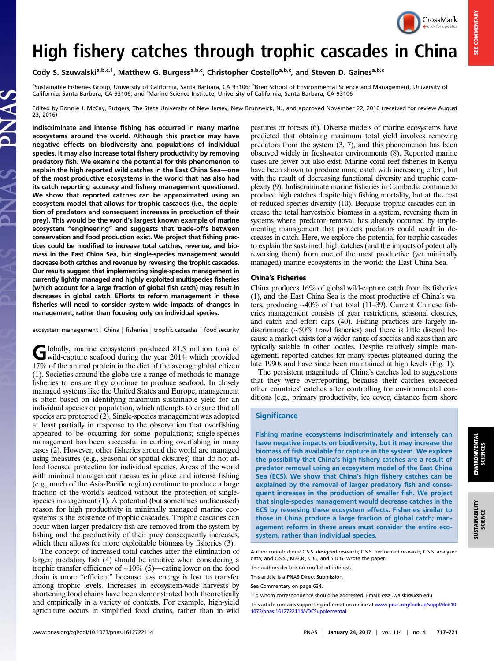

**SEE COMMENTARY** SEE COMMENTARY

# High fishery catches through trophic cascades in China

Cody S. Szuwalski<sup>a,b,c,1</sup>, Matthew G. Burgess<sup>a,b,c</sup>, Christopher Costello<sup>a,b,c</sup>, and Steven D. Gaines<sup>a,b,c</sup>

<sup>a</sup>Sustainable Fisheries Group, University of California, Santa Barbara, CA 93106; <sup>b</sup>Bren School of Environmental Science and Management, University of California, Santa Barbara, CA 93106; and 'Marine Science Institute, University of California, Santa Barbara, CA 93106

Edited by Bonnie J. McCay, Rutgers, The State University of New Jersey, New Brunswick, NJ, and approved November 22, 2016 (received for review August 23, 2016)

Indiscriminate and intense fishing has occurred in many marine ecosystems around the world. Although this practice may have negative effects on biodiversity and populations of individual species, it may also increase total fishery productivity by removing predatory fish. We examine the potential for this phenomenon to explain the high reported wild catches in the East China Sea—one of the most productive ecosystems in the world that has also had its catch reporting accuracy and fishery management questioned. We show that reported catches can be approximated using an ecosystem model that allows for trophic cascades (i.e., the depletion of predators and consequent increases in production of their prey). This would be the world's largest known example of marine ecosystem "engineering" and suggests that trade-offs between conservation and food production exist. We project that fishing practices could be modified to increase total catches, revenue, and biomass in the East China Sea, but single-species management would decrease both catches and revenue by reversing the trophic cascades. Our results suggest that implementing single-species management in currently lightly managed and highly exploited multispecies fisheries (which account for a large fraction of global fish catch) may result in decreases in global catch. Efforts to reform management in these fisheries will need to consider system wide impacts of changes in management, rather than focusing only on individual species.

ecosystem management | China | fisheries | trophic cascades | food security

Globally, marine ecosystems produced 81.5 million tons of wild-capture seafood during the year 2014, which provided 17% of the animal protein in the diet of the average global citizen (1). Societies around the globe use a range of methods to manage fisheries to ensure they continue to produce seafood. In closely managed systems like the United States and Europe, management is often based on identifying maximum sustainable yield for an individual species or population, which attempts to ensure that all species are protected (2). Single-species management was adopted at least partially in response to the observation that overfishing appeared to be occurring for some populations; single-species management has been successful in curbing overfishing in many cases (2). However, other fisheries around the world are managed using measures (e.g., seasonal or spatial closures) that do not afford focused protection for individual species. Areas of the world with minimal management measures in place and intense fishing (e.g., much of the Asia-Pacific region) continue to produce a large fraction of the world's seafood without the protection of singlespecies management (1). A potential (but sometimes undiscussed) reason for high productivity in minimally managed marine ecosystems is the existence of trophic cascades. Trophic cascades can occur when larger predatory fish are removed from the system by fishing and the productivity of their prey consequently increases, which then allows for more exploitable biomass by fisheries (3).

The concept of increased total catches after the elimination of larger, predatory fish (4) should be intuitive when considering a trophic transfer efficiency of ∼10% (5)—eating lower on the food chain is more "efficient" because less energy is lost to transfer among trophic levels. Increases in ecosystem-wide harvests by shortening food chains have been demonstrated both theoretically and empirically in a variety of contexts. For example, high-yield agriculture occurs in simplified food chains, rather than in wild pastures or forests (6). Diverse models of marine ecosystems have predicted that obtaining maximum total yield involves removing predators from the system (3, 7), and this phenomenon has been observed widely in freshwater environments (8). Reported marine cases are fewer but also exist. Marine coral reef fisheries in Kenya have been shown to produce more catch with increasing effort, but with the result of decreasing functional diversity and trophic complexity (9). Indiscriminate marine fisheries in Cambodia continue to produce high catches despite high fishing mortality, but at the cost of reduced species diversity (10). Because trophic cascades can increase the total harvestable biomass in a system, reversing them in systems where predator removal has already occurred by implementing management that protects predators could result in decreases in catch. Here, we explore the potential for trophic cascades to explain the sustained, high catches (and the impacts of potentially reversing them) from one of the most productive (yet minimally managed) marine ecosystems in the world: the East China Sea.

### China's Fisheries

China produces 16% of global wild-capture catch from its fisheries (1), and the East China Sea is the most productive of China's waters, producing ∼40% of that total (11–39). Current Chinese fisheries management consists of gear restrictions, seasonal closures, and catch and effort caps (40). Fishing practices are largely indiscriminate (∼50% trawl fisheries) and there is little discard because a market exists for a wider range of species and sizes than are typically salable in other locales. Despite relatively simple management, reported catches for many species plateaued during the late 1990s and have since been maintained at high levels (Fig. 1).

The persistent magnitude of China's catches led to suggestions that they were overreporting, because their catches exceeded other countries' catches after controlling for environmental conditions [e.g., primary productivity, ice cover, distance from shore

#### **Significance**

Fishing marine ecosystems indiscriminately and intensely can have negative impacts on biodiversity, but it may increase the biomass of fish available for capture in the system. We explore the possibility that China's high fishery catches are a result of predator removal using an ecosystem model of the East China Sea (ECS). We show that China's high fishery catches can be explained by the removal of larger predatory fish and consequent increases in the production of smaller fish. We project that single-species management would decrease catches in the ECS by reversing these ecosystem effects. Fisheries similar to those in China produce a large fraction of global catch; management reform in these areas must consider the entire ecosystem, rather than individual species.

Author contributions: C.S.S. designed research; C.S.S. performed research; C.S.S. analyzed data; and C.S.S., M.G.B., C.C., and S.D.G. wrote the paper.

The authors declare no conflict of interest.

This article is a PNAS Direct Submission.

See Commentary on page 634.

<sup>&</sup>lt;sup>1</sup>To whom correspondence should be addressed. Email: [csszuwalski@ucsb.edu](mailto:csszuwalski@ucsb.edu).

This article contains supporting information online at [www.pnas.org/lookup/suppl/doi:10.](http://www.pnas.org/lookup/suppl/doi:10.1073/pnas.1612722114/-/DCSupplemental) [1073/pnas.1612722114/-/DCSupplemental](http://www.pnas.org/lookup/suppl/doi:10.1073/pnas.1612722114/-/DCSupplemental).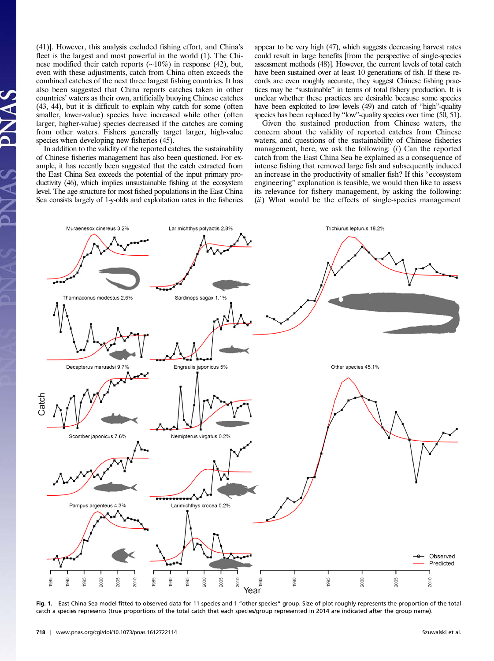(41)]. However, this analysis excluded fishing effort, and China's fleet is the largest and most powerful in the world (1). The Chinese modified their catch reports (∼10%) in response (42), but, even with these adjustments, catch from China often exceeds the combined catches of the next three largest fishing countries. It has also been suggested that China reports catches taken in other countries' waters as their own, artificially buoying Chinese catches (43, 44), but it is difficult to explain why catch for some (often smaller, lower-value) species have increased while other (often larger, higher-value) species decreased if the catches are coming from other waters. Fishers generally target larger, high-value species when developing new fisheries (45).

In addition to the validity of the reported catches, the sustainability of Chinese fisheries management has also been questioned. For example, it has recently been suggested that the catch extracted from the East China Sea exceeds the potential of the input primary productivity (46), which implies unsustainable fishing at the ecosystem level. The age structure for most fished populations in the East China Sea consists largely of 1-y-olds and exploitation rates in the fisheries

appear to be very high (47), which suggests decreasing harvest rates could result in large benefits [from the perspective of single-species assessment methods (48)]. However, the current levels of total catch have been sustained over at least 10 generations of fish. If these records are even roughly accurate, they suggest Chinese fishing practices may be "sustainable" in terms of total fishery production. It is unclear whether these practices are desirable because some species have been exploited to low levels (49) and catch of "high"-quality species has been replaced by "low"-quality species over time (50, 51).

Given the sustained production from Chinese waters, the concern about the validity of reported catches from Chinese waters, and questions of the sustainability of Chinese fisheries management, here, we ask the following: (i) Can the reported catch from the East China Sea be explained as a consequence of intense fishing that removed large fish and subsequently induced an increase in the productivity of smaller fish? If this "ecosystem engineering" explanation is feasible, we would then like to assess its relevance for fishery management, by asking the following:  $(ii)$  What would be the effects of single-species management



Fig. 1. East China Sea model fitted to observed data for 11 species and 1 "other species" group. Size of plot roughly represents the proportion of the total catch a species represents (true proportions of the total catch that each species/group represented in 2014 are indicated after the group name).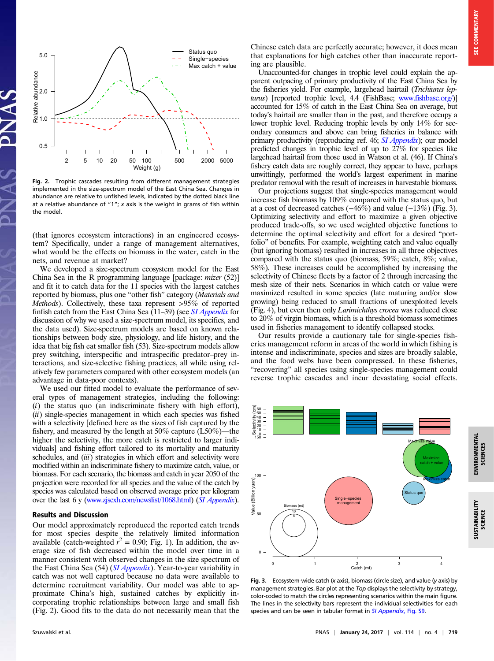SCIENCES



Fig. 2. Trophic cascades resulting from different management strategies implemented in the size-spectrum model of the East China Sea. Changes in abundance are relative to unfished levels, indicated by the dotted black line at a relative abundance of "1"; x axis is the weight in grams of fish within the model.

(that ignores ecosystem interactions) in an engineered ecosystem? Specifically, under a range of management alternatives, what would be the effects on biomass in the water, catch in the nets, and revenue at market?

We developed a size-spectrum ecosystem model for the East China Sea in the R programming language [package: mizer (52)] and fit it to catch data for the 11 species with the largest catches reported by biomass, plus one "other fish" category (Materials and Methods). Collectively, these taxa represent >95% of reported finfish catch from the East China Sea (11–39) (see *[SI Appendix](http://www.pnas.org/lookup/suppl/doi:10.1073/pnas.1612722114/-/DCSupplemental/pnas.1612722114.sapp.pdf)* for discussion of why we used a size-spectrum model, its specifics, and the data used). Size-spectrum models are based on known relationships between body size, physiology, and life history, and the idea that big fish eat smaller fish (53). Size-spectrum models allow prey switching, interspecific and intraspecific predator–prey interactions, and size-selective fishing practices, all while using relatively few parameters compared with other ecosystem models (an advantage in data-poor contexts).

We used our fitted model to evaluate the performance of several types of management strategies, including the following:  $(i)$  the status quo (an indiscriminate fishery with high effort),  $(ii)$  single-species management in which each species was fished with a selectivity [defined here as the sizes of fish captured by the fishery, and measured by the length at 50% capture (L50%)—the higher the selectivity, the more catch is restricted to larger individuals] and fishing effort tailored to its mortality and maturity schedules, and *(iii)* strategies in which effort and selectivity were modified within an indiscriminate fishery to maximize catch, value, or biomass. For each scenario, the biomass and catch in year 2050 of the projection were recorded for all species and the value of the catch by species was calculated based on observed average price per kilogram over the last 6 y ([www.zjscxh.com/newslist/1068.html](http://www.zjscxh.com/newslist/1068.html)) ([SI Appendix](http://www.pnas.org/lookup/suppl/doi:10.1073/pnas.1612722114/-/DCSupplemental/pnas.1612722114.sapp.pdf)).

## Results and Discussion

Our model approximately reproduced the reported catch trends for most species despite the relatively limited information available (catch-weighted  $r^2 = 0.90$ ; Fig. 1). In addition, the average size of fish decreased within the model over time in a manner consistent with observed changes in the size spectrum of the East China Sea (54) ([SI Appendix](http://www.pnas.org/lookup/suppl/doi:10.1073/pnas.1612722114/-/DCSupplemental/pnas.1612722114.sapp.pdf)). Year-to-year variability in catch was not well captured because no data were available to determine recruitment variability. Our model was able to approximate China's high, sustained catches by explicitly incorporating trophic relationships between large and small fish (Fig. 2). Good fits to the data do not necessarily mean that the

Chinese catch data are perfectly accurate; however, it does mean that explanations for high catches other than inaccurate reporting are plausible.

Unaccounted-for changes in trophic level could explain the apparent outpacing of primary productivity of the East China Sea by the fisheries yield. For example, largehead hairtail (Trichiurus lepturus) [reported trophic level, 4.4 (FishBase; [www.fishbase.org/\)](http://www.fishbase.org/)] accounted for 15% of catch in the East China Sea on average, but today's hairtail are smaller than in the past, and therefore occupy a lower trophic level. Reducing trophic levels by only 14% for secondary consumers and above can bring fisheries in balance with primary productivity (reproducing ref. 46; [SI Appendix](http://www.pnas.org/lookup/suppl/doi:10.1073/pnas.1612722114/-/DCSupplemental/pnas.1612722114.sapp.pdf)); our model predicted changes in trophic level of up to 27% for species like largehead hairtail from those used in Watson et al. (46). If China's fishery catch data are roughly correct, they appear to have, perhaps unwittingly, performed the world's largest experiment in marine predator removal with the result of increases in harvestable biomass.

Our projections suggest that single-species management would increase fish biomass by 109% compared with the status quo, but at a cost of decreased catches  $(-46%)$  and value  $(-13%)$  (Fig. 3). Optimizing selectivity and effort to maximize a given objective produced trade-offs, so we used weighted objective functions to determine the optimal selectivity and effort for a desired "portfolio" of benefits. For example, weighting catch and value equally (but ignoring biomass) resulted in increases in all three objectives compared with the status quo (biomass, 59%; catch, 8%; value, 58%). These increases could be accomplished by increasing the selectivity of Chinese fleets by a factor of 2 through increasing the mesh size of their nets. Scenarios in which catch or value were maximized resulted in some species (late maturing and/or slow growing) being reduced to small fractions of unexploited levels (Fig. 4), but even then only Larimichthys crocea was reduced close to 20% of virgin biomass, which is a threshold biomass sometimes used in fisheries management to identify collapsed stocks.

Our results provide a cautionary tale for single-species fisheries management reform in areas of the world in which fishing is intense and indiscriminate, species and sizes are broadly salable, and the food webs have been compressed. In these fisheries, "recovering" all species using single-species management could reverse trophic cascades and incur devastating social effects.



Fig. 3. Ecosystem-wide catch (x axis), biomass (circle size), and value (y axis) by management strategies. Bar plot at the Top displays the selectivity by strategy, color-coded to match the circles representing scenarios within the main figure. The lines in the selectivity bars represent the individual selectivities for each species and can be seen in tabular format in [SI Appendix](http://www.pnas.org/lookup/suppl/doi:10.1073/pnas.1612722114/-/DCSupplemental/pnas.1612722114.sapp.pdf), Fig. S9.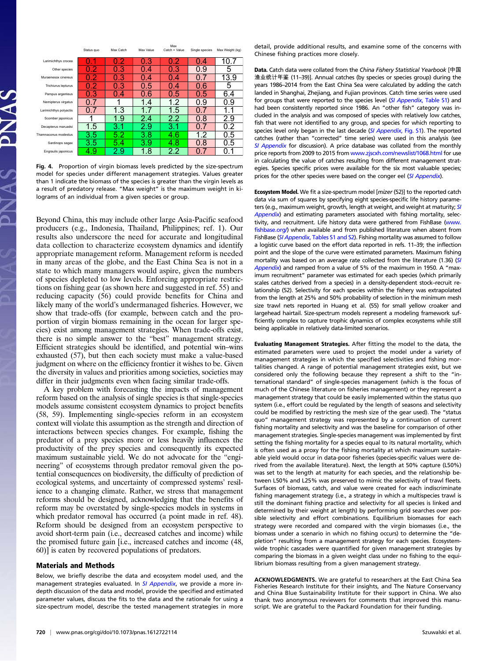|                        |            |           |           | Max           |                |                 |
|------------------------|------------|-----------|-----------|---------------|----------------|-----------------|
|                        | Status quo | Max Catch | Max Value | Catch + Value | Single species | Max Weight (kg) |
| Larimichthys crocea    | -1<br>O    | 0.2       | 0.3       | 0.2           | 0.4            | 10.7            |
| Other species          | 0.2        | 0.3       | 0.4       | 0.3           | 0.9            | 5               |
| Muraenesox cinereus    | 0.2        | 0.3       | 0.4       | 0.4           | 0.7            | 13.9            |
| Trichiurus lepturus    | 0.2        | 0.3       | 0.5       | 0.4           | 0.6            | 5               |
| Pampus argenteus       | 0.3        | 0.4       | 0.6       | 0.5           | 0.5            | 6.4             |
| Nemipterus virgatus    |            | 1         | 1.4       | 1.2           | 0.9            | 0.9             |
| Larimichthys polyactis | 0.7        | 1.3       | 1.7       | 1.5           | 07             | 1.<br>1         |
| Scomber japonicus      |            | 1.9       | 2.4       | $2.2\,$       | 0.8            | 2.9             |
| Decapterus maruadsi    | 1.5        | 3.1       | 2.9       | 3.1           | 07             | 0.2             |
| Thamnaconus modestus   | 3.5        | 5.2       | 3.8       | 4.6           | 1.2            | 0.5             |
| Sardinops sagax        | 3.5        | 5.4       | 3.9       | 4.8           | 0.8            | 0.5             |
| Engraulis japonicus    | 4.9        | 2.9       | 1.8       | 2.2           | 0.7            | 0.1             |

Fig. 4. Proportion of virgin biomass levels predicted by the size-spectrum model for species under different management strategies. Values greater than 1 indicate the biomass of the species is greater than the virgin levels as a result of predatory release. "Max weight" is the maximum weight in kilograms of an individual from a given species or group.

Beyond China, this may include other large Asia-Pacific seafood producers (e.g., Indonesia, Thailand, Philippines; ref. 1). Our results also underscore the need for accurate and longitudinal data collection to characterize ecosystem dynamics and identify appropriate management reform. Management reform is needed in many areas of the globe, and the East China Sea is not in a state to which many managers would aspire, given the numbers of species depleted to low levels. Enforcing appropriate restrictions on fishing gear (as shown here and suggested in ref. 55) and reducing capacity (56) could provide benefits for China and likely many of the world's undermanaged fisheries. However, we show that trade-offs (for example, between catch and the proportion of virgin biomass remaining in the ocean for larger species) exist among management strategies. When trade-offs exist, there is no simple answer to the "best" management strategy. Efficient strategies should be identified, and potential win–wins exhausted (57), but then each society must make a value-based judgment on where on the efficiency frontier it wishes to be. Given the diversity in values and priorities among societies, societies may differ in their judgments even when facing similar trade-offs.

A key problem with forecasting the impacts of management reform based on the analysis of single species is that single-species models assume consistent ecosystem dynamics to project benefits (58, 59). Implementing single-species reform in an ecosystem context will violate this assumption as the strength and direction of interactions between species changes. For example, fishing the predator of a prey species more or less heavily influences the productivity of the prey species and consequently its expected maximum sustainable yield. We do not advocate for the "engineering" of ecosystems through predator removal given the potential consequences on biodiversity, the difficulty of prediction of ecological systems, and uncertainty of compressed systems' resilience to a changing climate. Rather, we stress that management reforms should be designed, acknowledging that the benefits of reform may be overstated by single-species models in systems in which predator removal has occurred (a point made in ref. 48). Reform should be designed from an ecosystem perspective to avoid short-term pain (i.e., decreased catches and income) while the promised future gain [i.e., increased catches and income (48, 60)] is eaten by recovered populations of predators.

#### Materials and Methods

Below, we briefly describe the data and ecosystem model used, and the management strategies evaluated. In [SI Appendix](http://www.pnas.org/lookup/suppl/doi:10.1073/pnas.1612722114/-/DCSupplemental/pnas.1612722114.sapp.pdf), we provide a more indepth discussion of the data and model, provide the specified and estimated parameter values, discuss the fits to the data and the rationale for using a size-spectrum model, describe the tested management strategies in more detail, provide additional results, and examine some of the concerns with Chinese fishing practices more closely.

Data. Catch data were collated from the China Fishery Statistical Yearbook [中国 渔业统计年鉴 (11–39)]. Annual catches (by species or species group) during the years 1986–2014 from the East China Sea were calculated by adding the catch landed in Shanghai, Zhejiang, and Fujian provinces. Catch time series were used for groups that were reported to the species level (SI Appendix[, Table S1\)](http://www.pnas.org/lookup/suppl/doi:10.1073/pnas.1612722114/-/DCSupplemental/pnas.1612722114.sapp.pdf) and had been consistently reported since 1986. An "other fish" category was included in the analysis and was composed of species with relatively low catches, fish that were not identified to any group, and species for which reporting to species level only began in the last decade ([SI Appendix](http://www.pnas.org/lookup/suppl/doi:10.1073/pnas.1612722114/-/DCSupplemental/pnas.1612722114.sapp.pdf), Fig. S1). The reported catches (rather than "corrected" time series) were used in this analysis (see [SI Appendix](http://www.pnas.org/lookup/suppl/doi:10.1073/pnas.1612722114/-/DCSupplemental/pnas.1612722114.sapp.pdf) for discussion). A price database was collated from the monthly price reports from 2009 to 2015 from [www.zjscxh.com/newslist/1068.html](http://www.zjscxh.com/newslist/1068.html) for use in calculating the value of catches resulting from different management strategies. Species specific prices were available for the six most valuable species; prices for the other species were based on the conger eel ([SI Appendix](http://www.pnas.org/lookup/suppl/doi:10.1073/pnas.1612722114/-/DCSupplemental/pnas.1612722114.sapp.pdf)).

Ecosystem Model. We fit a size-spectrum model [mizer (52)] to the reported catch data via sum of squares by specifying eight species-specific life history parame-ters (e.g., maximum weight, growth, length at weight, and weight at maturity; [SI](http://www.pnas.org/lookup/suppl/doi:10.1073/pnas.1612722114/-/DCSupplemental/pnas.1612722114.sapp.pdf) [Appendix](http://www.pnas.org/lookup/suppl/doi:10.1073/pnas.1612722114/-/DCSupplemental/pnas.1612722114.sapp.pdf)) and estimating parameters associated with fishing mortality, selectivity, and recruitment. Life history data were gathered from FishBase [\(www.](http://www.fishbase.org/) [fishbase.org/\)](http://www.fishbase.org/) when available and from published literature when absent from FishBase (SI Appendix[, Tables S1 and S2\)](http://www.pnas.org/lookup/suppl/doi:10.1073/pnas.1612722114/-/DCSupplemental/pnas.1612722114.sapp.pdf). Fishing mortality was assumed to follow a logistic curve based on the effort data reported in refs. 11–39; the inflection point and the slope of the curve were estimated parameters. Maximum fishing mortality was based on an average rate collected from the literature (1.36) ([SI](http://www.pnas.org/lookup/suppl/doi:10.1073/pnas.1612722114/-/DCSupplemental/pnas.1612722114.sapp.pdf) [Appendix](http://www.pnas.org/lookup/suppl/doi:10.1073/pnas.1612722114/-/DCSupplemental/pnas.1612722114.sapp.pdf)) and ramped from a value of 5% of the maximum in 1950. A "maximum recruitment" parameter was estimated for each species (which primarily scales catches derived from a species) in a density-dependent stock–recruit relationship (52). Selectivity for each species within the fishery was extrapolated from the length at 25% and 50% probability of selection in the minimum mesh size trawl nets reported in Huang et al. (55) for small yellow croaker and largehead hairtail. Size-spectrum models represent a modeling framework sufficiently complex to capture trophic dynamics of complex ecosystems while still being applicable in relatively data-limited scenarios.

Evaluating Management Strategies. After fitting the model to the data, the estimated parameters were used to project the model under a variety of management strategies in which the specified selectivities and fishing mortalities changed. A range of potential management strategies exist, but we considered only the following because they represent a shift to the "international standard" of single-species management (which is the focus of much of the Chinese literature on fisheries management) or they represent a management strategy that could be easily implemented within the status quo system (i.e., effort could be regulated by the length of seasons and selectivity could be modified by restricting the mesh size of the gear used). The "status quo" management strategy was represented by a continuation of current fishing mortality and selectivity and was the baseline for comparison of other management strategies. Single-species management was implemented by first setting the fishing mortality for a species equal to its natural mortality, which is often used as a proxy for the fishing mortality at which maximum sustainable yield would occur in data-poor fisheries (species-specific values were derived from the available literature). Next, the length at 50% capture (L50%) was set to the length at maturity for each species, and the relationship between L50% and L25% was preserved to mimic the selectivity of trawl fleets. Surfaces of biomass, catch, and value were created for each indiscriminate fishing management strategy (i.e., a strategy in which a multispecies trawl is still the dominant fishing practice and selectivity for all species is linked and determined by their weight at length) by performing grid searches over possible selectivity and effort combinations. Equilibrium biomasses for each strategy were recorded and compared with the virgin biomasses (i.e., the biomass under a scenario in which no fishing occurs) to determine the "depletion" resulting from a management strategy for each species. Ecosystemwide trophic cascades were quantified for given management strategies by comparing the biomass in a given weight class under no fishing to the equilibrium biomass resulting from a given management strategy.

ACKNOWLEDGMENTS. We are grateful to researchers at the East China Sea Fisheries Research Institute for their insights, and The Nature Conservancy and China Blue Sustainability Institute for their support in China. We also thank two anonymous reviewers for comments that improved this manuscript. We are grateful to the Packard Foundation for their funding.